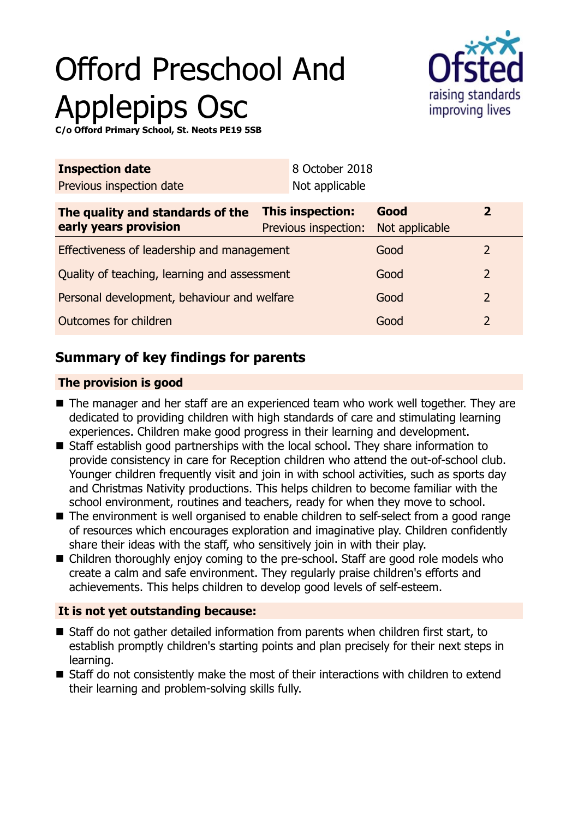# Offord Preschool And Applepips Osc



**C/o Offord Primary School, St. Neots PE19 5SB**

| Not applicable                                  |                        |                                                |  |
|-------------------------------------------------|------------------------|------------------------------------------------|--|
| <b>This inspection:</b><br>Previous inspection: | Good<br>Not applicable | $\overline{2}$                                 |  |
| Effectiveness of leadership and management      |                        | 2                                              |  |
| Quality of teaching, learning and assessment    |                        | 2                                              |  |
| Personal development, behaviour and welfare     |                        | $\overline{2}$                                 |  |
| Outcomes for children                           |                        | 2                                              |  |
|                                                 |                        | 8 October 2018<br>Good<br>Good<br>Good<br>Good |  |

# **Summary of key findings for parents**

### **The provision is good**

- $\blacksquare$  The manager and her staff are an experienced team who work well together. They are dedicated to providing children with high standards of care and stimulating learning experiences. Children make good progress in their learning and development.
- Staff establish good partnerships with the local school. They share information to provide consistency in care for Reception children who attend the out-of-school club. Younger children frequently visit and join in with school activities, such as sports day and Christmas Nativity productions. This helps children to become familiar with the school environment, routines and teachers, ready for when they move to school.
- The environment is well organised to enable children to self-select from a good range of resources which encourages exploration and imaginative play. Children confidently share their ideas with the staff, who sensitively join in with their play.
- Children thoroughly enjoy coming to the pre-school. Staff are good role models who create a calm and safe environment. They regularly praise children's efforts and achievements. This helps children to develop good levels of self-esteem.

## **It is not yet outstanding because:**

- Staff do not gather detailed information from parents when children first start, to establish promptly children's starting points and plan precisely for their next steps in learning.
- Staff do not consistently make the most of their interactions with children to extend their learning and problem-solving skills fully.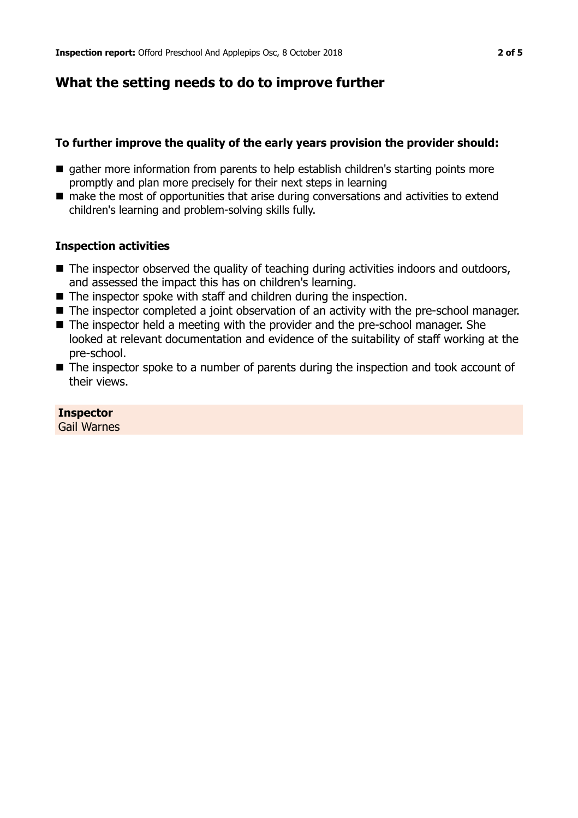# **What the setting needs to do to improve further**

#### **To further improve the quality of the early years provision the provider should:**

- gather more information from parents to help establish children's starting points more promptly and plan more precisely for their next steps in learning
- $\blacksquare$  make the most of opportunities that arise during conversations and activities to extend children's learning and problem-solving skills fully.

#### **Inspection activities**

- $\blacksquare$  The inspector observed the quality of teaching during activities indoors and outdoors, and assessed the impact this has on children's learning.
- $\blacksquare$  The inspector spoke with staff and children during the inspection.
- The inspector completed a joint observation of an activity with the pre-school manager.
- $\blacksquare$  The inspector held a meeting with the provider and the pre-school manager. She looked at relevant documentation and evidence of the suitability of staff working at the pre-school.
- $\blacksquare$  The inspector spoke to a number of parents during the inspection and took account of their views.

#### **Inspector**

Gail Warnes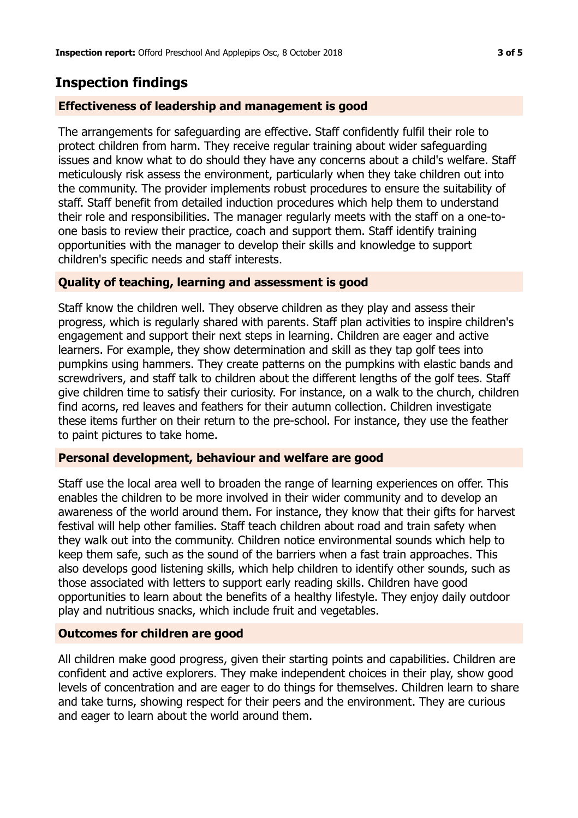## **Inspection findings**

#### **Effectiveness of leadership and management is good**

The arrangements for safeguarding are effective. Staff confidently fulfil their role to protect children from harm. They receive regular training about wider safeguarding issues and know what to do should they have any concerns about a child's welfare. Staff meticulously risk assess the environment, particularly when they take children out into the community. The provider implements robust procedures to ensure the suitability of staff. Staff benefit from detailed induction procedures which help them to understand their role and responsibilities. The manager regularly meets with the staff on a one-toone basis to review their practice, coach and support them. Staff identify training opportunities with the manager to develop their skills and knowledge to support children's specific needs and staff interests.

#### **Quality of teaching, learning and assessment is good**

Staff know the children well. They observe children as they play and assess their progress, which is regularly shared with parents. Staff plan activities to inspire children's engagement and support their next steps in learning. Children are eager and active learners. For example, they show determination and skill as they tap golf tees into pumpkins using hammers. They create patterns on the pumpkins with elastic bands and screwdrivers, and staff talk to children about the different lengths of the golf tees. Staff give children time to satisfy their curiosity. For instance, on a walk to the church, children find acorns, red leaves and feathers for their autumn collection. Children investigate these items further on their return to the pre-school. For instance, they use the feather to paint pictures to take home.

#### **Personal development, behaviour and welfare are good**

Staff use the local area well to broaden the range of learning experiences on offer. This enables the children to be more involved in their wider community and to develop an awareness of the world around them. For instance, they know that their gifts for harvest festival will help other families. Staff teach children about road and train safety when they walk out into the community. Children notice environmental sounds which help to keep them safe, such as the sound of the barriers when a fast train approaches. This also develops good listening skills, which help children to identify other sounds, such as those associated with letters to support early reading skills. Children have good opportunities to learn about the benefits of a healthy lifestyle. They enjoy daily outdoor play and nutritious snacks, which include fruit and vegetables.

#### **Outcomes for children are good**

All children make good progress, given their starting points and capabilities. Children are confident and active explorers. They make independent choices in their play, show good levels of concentration and are eager to do things for themselves. Children learn to share and take turns, showing respect for their peers and the environment. They are curious and eager to learn about the world around them.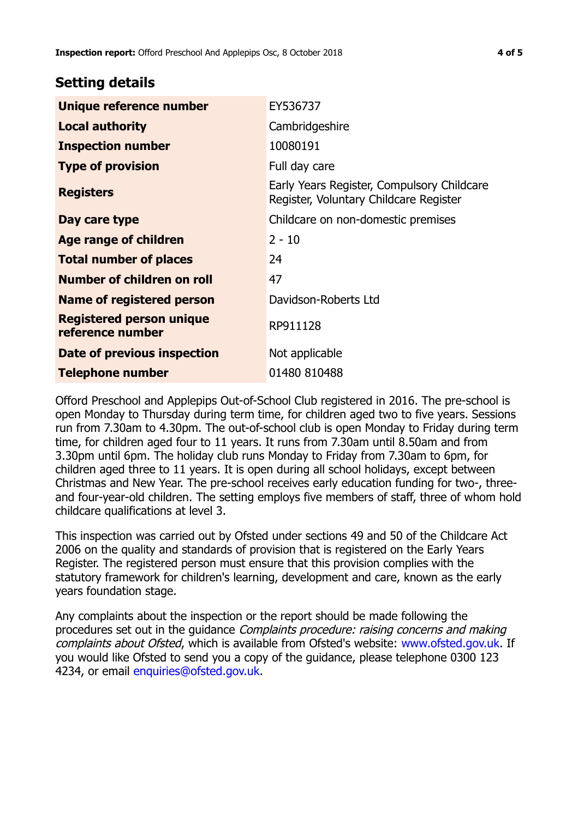## **Setting details**

| Unique reference number                             | EY536737                                                                             |
|-----------------------------------------------------|--------------------------------------------------------------------------------------|
| <b>Local authority</b>                              | Cambridgeshire                                                                       |
| <b>Inspection number</b>                            | 10080191                                                                             |
| <b>Type of provision</b>                            | Full day care                                                                        |
| <b>Registers</b>                                    | Early Years Register, Compulsory Childcare<br>Register, Voluntary Childcare Register |
| Day care type                                       | Childcare on non-domestic premises                                                   |
| Age range of children                               | $2 - 10$                                                                             |
| <b>Total number of places</b>                       | 24                                                                                   |
| Number of children on roll                          | 47                                                                                   |
| Name of registered person                           | Davidson-Roberts Ltd                                                                 |
| <b>Registered person unique</b><br>reference number | RP911128                                                                             |
| Date of previous inspection                         | Not applicable                                                                       |
| <b>Telephone number</b>                             | 01480 810488                                                                         |

Offord Preschool and Applepips Out-of-School Club registered in 2016. The pre-school is open Monday to Thursday during term time, for children aged two to five years. Sessions run from 7.30am to 4.30pm. The out-of-school club is open Monday to Friday during term time, for children aged four to 11 years. It runs from 7.30am until 8.50am and from 3.30pm until 6pm. The holiday club runs Monday to Friday from 7.30am to 6pm, for children aged three to 11 years. It is open during all school holidays, except between Christmas and New Year. The pre-school receives early education funding for two-, threeand four-year-old children. The setting employs five members of staff, three of whom hold childcare qualifications at level 3.

This inspection was carried out by Ofsted under sections 49 and 50 of the Childcare Act 2006 on the quality and standards of provision that is registered on the Early Years Register. The registered person must ensure that this provision complies with the statutory framework for children's learning, development and care, known as the early years foundation stage.

Any complaints about the inspection or the report should be made following the procedures set out in the guidance Complaints procedure: raising concerns and making complaints about Ofsted, which is available from Ofsted's website: www.ofsted.gov.uk. If you would like Ofsted to send you a copy of the guidance, please telephone 0300 123 4234, or email [enquiries@ofsted.gov.uk.](mailto:enquiries@ofsted.gov.uk)